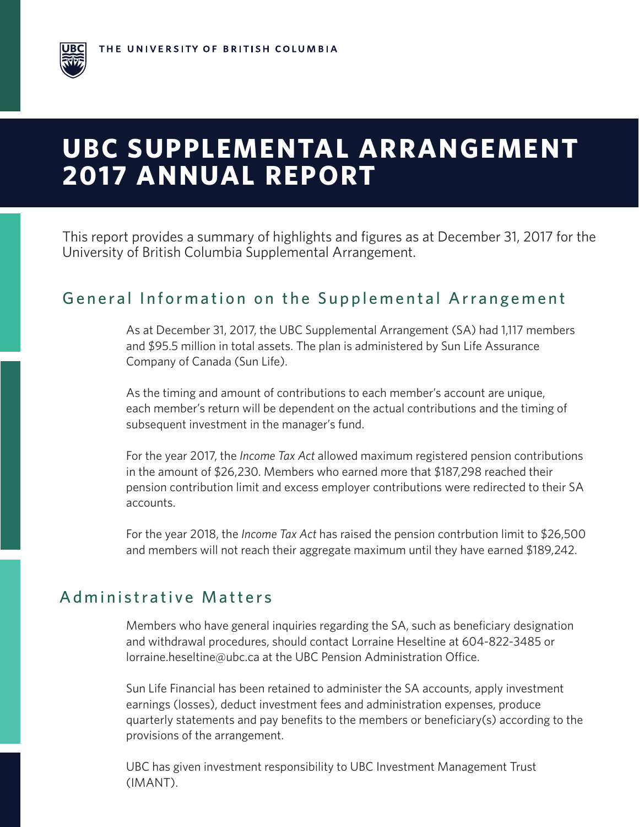# **UBC SUPPLEMENTAL ARRANGEMENT 2017 ANNUAL REPORT**

This report provides a summary of highlights and figures as at December 31, 2017 for the University of British Columbia Supplemental Arrangement.

### General Information on the Supplemental Arrangement

As at December 31, 2017, the UBC Supplemental Arrangement (SA) had 1,117 members and \$95.5 million in total assets. The plan is administered by Sun Life Assurance Company of Canada (Sun Life).

As the timing and amount of contributions to each member's account are unique, each member's return will be dependent on the actual contributions and the timing of subsequent investment in the manager's fund.

For the year 2017, the *Income Tax Act* allowed maximum registered pension contributions in the amount of \$26,230. Members who earned more that \$187,298 reached their pension contribution limit and excess employer contributions were redirected to their SA accounts.

For the year 2018, the *Income Tax Act* has raised the pension contrbution limit to \$26,500 and members will not reach their aggregate maximum until they have earned \$189,242.

#### Administrative Matters

Members who have general inquiries regarding the SA, such as beneficiary designation and withdrawal procedures, should contact Lorraine Heseltine at 604-822-3485 or lorraine.heseltine@ubc.ca at the UBC Pension Administration Office.

Sun Life Financial has been retained to administer the SA accounts, apply investment earnings (losses), deduct investment fees and administration expenses, produce quarterly statements and pay benefits to the members or beneficiary(s) according to the provisions of the arrangement.

UBC has given investment responsibility to UBC Investment Management Trust (IMANT).